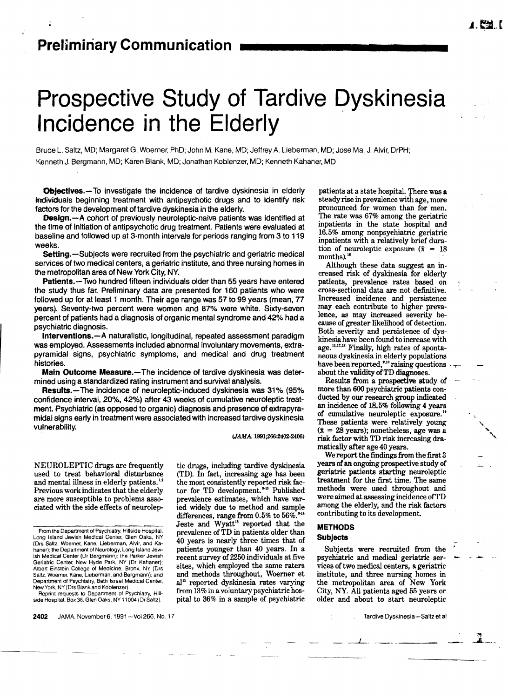# **Prospective Study of Tardive Dyskinesia Incidence in the Elderly**

Bruce L. Saltz, MD; Margaret G. Woerner, PhD; John M. Kane. MD; Jeffrey A. Lieberman, MD; Jose Ma. J. Alvir, DrPH; Kenneth J. Bergmann, MD; Karen Blank, MD; Jonathan Koblenzer, MD; Kenneth Kahaner, MD

**Objectives.**-To investigate the incidence of tardive dyskinesia in elderly individuals beginning treatment with antipsychotic drugs and to identify risk factors for the development of tardive dyskinesia in the elderly.

**Design.-A** cohort of previously neuroleptic-naive patients was identified at the time of initiation of antipsychotic drug treatment. Patients were evaluated at baseline and followed up at 3-month intervals for periods ranging from 3 to 119 weeks.

Setting.-Subjects were recruited from the psychiatric and geriatric medical services of two medical centers, a geriatric institute, and three nursing homes in the metropolitan area of New York City, NY.

Patients.-Two hundred fifteen individuals older than 55 years have entered the study thus far. Preliminary data are presented for 160 patients who were followed up for at least 1 month. Their age range was 57 to 99 years (mean. *n*  years). Seventy-two percent were women and 67% were white. Sixty-seven percent of patients had a diagnosis of organic mental syndrome and 42% had a psychiatric diagnosis.

Interventions.-A naturalistic, longitudinal, repeated assessment paradigm was employed. Assessments included abnormal involuntary movements, extrapyramidal signs. psychiatric symptoms. and medical and drug treatment histories.

Main Outcome Measure.-The incidence of tardive dyskinesia was determined using a standardized rating instrument and survival analysis.

Results.-The incidence of neuroleptic-induced dyskinesia was 31% (95% confidence interval. 20%, 42%) after 43 weeks of cumulative neuroleptic treatment. Psychiatric (as opposed to organic) diagnosis and presence of extrapyramidal signs early in treatment were associated with increased tardive dyskinesia vulnerability.

*(lAMA. 1991;266:2402-2(06)* 

NEUROLEPTIC drugs are frequently tic drugs, including tardive dyskinesia<br>used to treat behavioral disturbance (TD). In fact, increasing age has been used to treat behavioral disturbance and mental illness in elderly patients. $12$  the most consistently reported risk fac-Previous work indicates that the elderly tor for TD development.<sup>\*\*</sup> Published are more susceptible to problems asso-<br>prevalence estimates, which have varare more susceptible to problems asso-

2402 JAMA, November 6, 1991-Vol 266, No. 17

ciated with the side effects of neurolep- ied widely due to method and sample differences, range from 0.5% to 56%.<sup>514</sup> Jeste and Wyatt<sup>18</sup> reported that the Department of Psychiatry, Beth Israel Medical Center. al<sup>15</sup> reported dyskinesia rates varying New York. NY (Drs Blank and Koblenzer). from 13% in a voluntary psychiatric hos-Reprint requests to Department of Psychiatry, H

patients at a state hospital. There was a steady rise in prevalence with age, more pronounced for women than for men. The rate was 67% among the geriatric inpatients in the state hospital and 16.5% among nonpsychiatric geriatric inpatients with a relatively brief duration of neuroleptic exposure  $(\bar{x} = 18)$ months).<sup>16</sup>

Although these data suggest an increased risk of dyskinesia for elderly patients, prevalence rates based on cross-sectional data are not definitive. Increased incidence and persistence may each contribute to higher prevalence, as may increased severity because of greater likelihood of detection. Both severity and persistence of dyskinesia have been found to increase with age.<sup>11,17,18</sup> Finally, high rates of spontaneous dyskinesia in elderly populations have been reported,<sup>8,10</sup> raising questions  $\cdot$ about the validity ofTD diagnoses.

Results from a prospective study of more than 600 psychiatric patients conducted by our research group indicated an incidence of 18.5% following 4 years of cumulative neuroleptic exposure. 18 These patients were relatively young  $(\bar{x} = 2\bar{8} \text{ years})$ ; nonetheless, age was a risk factor with TD risk increasing dramatically after age 40 years.

We report the findings from the first 8 years of an ongoing prospective study of geriatric patients starting neuroleptic treatment for the first time. The same methods were used throughout and were aimed at assessing incidence ofTD among the elderly, and the risk factors contributing to its development.

# METHODS

Subjects -. Subjects were recruited from the <sup>~</sup> psychiatric and medical geriatric services of two medical centers, a geriatric institute, and three nursing homes in the metropolitan area of New York City, NY. All patients aged 55 years or older and about to start neuroleptic

From the Department of Psychiatry, Hillside Hospital, prevalence of  $\overline{\text{TD}}$  in patients older than Long Island Jewish Medical Center, Glen Oaks, NY  $\overline{A0}$  reagan is peoply three times that of Long Island Jewish Medical Cenler. Glen Oaks, NY 40 years is nearly three times that of (Drs Saltz, Woerner, Kane. Lieberman, Alvir, and Kahaner); the Department of Neurology, Long Island Jew patients younger than 40 years. In a ish Medical Center (Dr Bergmann); the Parker Jewish recent survey of 2250 individuals at five ish Medical Center (Dr Bergmann): the Parker Jewish recent survey of 2250 individuals at five<br>Geriatric Center, New Hyde Park, NY (Dr Kahaner); rether which omnloyed the same raters Geriatric Center, New Hyde Park. NY (Dr Kahaner);<br>Albert Einstein College of Medicine. Bronx, NY (Drs sites, which employed the same raters Saltz, Woerner. Kane, Lieberman. and Bergmann); and and methods throughout, Woerner et<br>Department of Psychiatry, Beth Israel Medical Center. al<sup>15</sup> reported dyskinesia rates varving

side Hospital, Box 38. Glen Oaks. NY 11004 (Dr Saltz). pital to 36% in a sample of psychiatric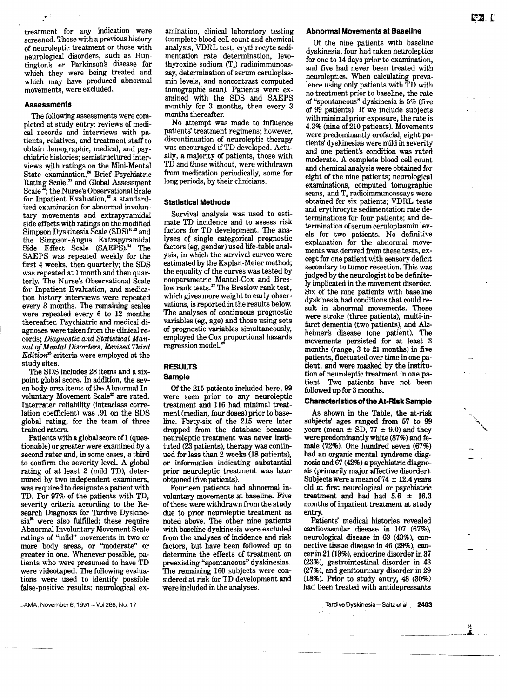treatment for any indication were screened. Those with a previous history of neuroleptic treatment or those with neurological disorders, such as Huntington's or Parkinson's disease for which they were being treated and which may have produced abnormal movements, were excluded.

#### **Assessments**

The following assessments were completed at study entry: reviews of medical records and interviews with patients, relatives, and treatment staff to obtain demographic, medical, and psychiatric histories; semistructured interviews with ratings on the Mini-Mental State examination,<sup>26</sup> Brief Psychiatric Rating Scale,<sup>2</sup> and Global Assessment Scale  $\mathbb{Z}$ ; the Nurse's Observational Scale for Inpatient Evaluation, $\overline{a}$  a standardized examination for abnormal involuntary movements and extrapyramidal side effects with ratings on the modified Simpson Dyskinesia Scale (SDS)<sup>16,22</sup> and the Simpson-Angus Extrapyramidal Side Effect Scale (SAEPS).<sup>24</sup> The SAEPS was repeated weekly for the first 4 weeks, then quarterly; the SDS was repeated at 1 month and then quarterly. The Nurse's Observational Scale for Inpatient Evaluation, and medication history interviews were repeated every 3 months. The remaining scales were repeated every 6 to 12 months thereafter. Psychiatric and medical diagnoses were taken from the clinical records; *Diagnostic and Statistical Manual ofMental Disorders, Revised Third*   $Editor<sup>2</sup>$  criteria were employed at the study sites.

The SDS includes 28 items and a sixpoint global score. In addition, the seven body-area items of the Abnormal Involuntary Movement Scale<sup>2</sup> are rated. Interrater reliability (intraclass correlation coefficient) was .91 on the SDS global rating, for the team of three trained raters.

Patients with a global score of 1 (questionable) or greater were examined by a second rater and, in some cases, a third to confirm the severity level. A global rating of at least 2 (mild TD), determined by two independent examiners, was required to designate a patient with TD. For 97% of the patients with TD, severity criteria according to the Research Diagnosis for Tardive Dyskinesia<sup>26</sup> were also fulfilled; these require Abnormal Involuntary Movement Scale ratings of ''mild'' movements in two or more body areas, or ''moderate'' or greater in one. Whenever possible, patients who were presumed to have TD were videotaped. The following evaluations were used to identify possible false-positive results: neurological examination, clinical laboratory testing (complete blood cell count and chemical analysis, VDRL test, erythrocyte sedimentation rate determination, levothyroxine sodium (T,) radioimmunoassay, determination of serum ceruloplasmin levels, and noncontrast computed tomographic scan). Patients were examined with the SDS and SAEPS monthly for 3 months, then every 3 months thereafter.

No attempt was made to influence patients' treatment regimens: however, discontinuation of neuroleptic therapy was encouraged if TD developed. Actually, a majority of patients, those with TD and those without, were withdrawn from medication periodically, some for long periods, by their clinicians.

#### **Statistical Methods**

Survival analysis was used to estimate TD incidence and to assess risk factors for TD development. The analyses of single categorical prognostic factors (eg, gender) used life-table analysis, in which the survival curves were estimated by the Kaplan-Meier method; the equality of the curves was tested by nonparametric Mantel-Cox and Breslow rank tests.<sup>27</sup> The Breslow rank test, which gives more weight to early observations, is reported in the results below. The analyses of continuous prognostic variables (eg, age) and those using sets of prognostic variables simultaneously, employed the Cox proportional hazards regression model.<sup>28</sup>

# **RESULTS**

### **Sample**

Of the 215 patients included here, 99 were seen prior to any neuroleptic treatment and 116 had minimal treatment (median, four doses) prior to baseline. Forty-six of the 216 were later dropped from the database because neuroleptic treatment was never instituted (23 patients), therapy was continued for less than 2 weeks (18 patients), or information indicating substantial prior neuroleptic treatment was later obtained (five patients).

Fourteen patients had abnormal involuntary movements at baseline. Five of these were withdrawn from the study due to prior neuroleptic treatment as noted above. The other nine patients with baseline dyskinesia were excluded from the analyses of incidence and risk factors, but have been followed up to determine the effects of treatment on preexisting "spontaneous" dyskinesias. The remaining 160 subjects were considered at risk for TD development and were included in the analyses.

#### **Abnormal Movements at Baseline**

Of the nine patients with baseline dyskinesia, four had taken neuroleptics for one to 14 days prior to examination, and five had never been treated with neuroleptics. When calculating prevalence using only patients with TD with no treatment prior to baseline, the rate of "spontaneous" dyskinesia is 5% (five of 99 patients). If we include subjects with minimal prior exposure, the rate is 4.3% (nine of 210 patients). Movements were predominantly orofacial; eight patients' dyskinesias were mild in severity and one patient's condition was rated moderate. A complete blood cell count and chemical analysis were obtained for eight of the nine patients; neurological examinations, computed tomographic scans, and T, radioimmunoassays were obtained for six patients; VDRL tests and erythrocyte sedimentation rate determinations for four patients; and determination of serum ceruloplasmin levels for two patients. No definitive explanation for the abnormal movements was derived from these tests, except for one patient with sensory deficit secondary to tumor resection. This was judged by the neurologist to be definitely implicated in the movement disorder. Six of the nine patients with baseline dyskinesia had conditions that could result in abnormal movements. These were stroke (three patients), multi-infarct dementia (two patients), and Alzheimer's disease (one patient). The movements persisted for at least 3 months (range, 3 to 21 months) in five patients, fluctuated over time in one patient, and were masked by the institution of neuroleptic treatment in one patient. Two patients have not been followed up for 3 months.

#### **Characteristics of the At-Risk Sample**

As shown in the Table, the at-risk subjects' ages ranged from 67 to 99 years (mean  $\pm$  SD, 77  $\pm$  9.0) and they were predominantly white (87%) and female (72%). One hundred seven (67%) had an organic mental syndrome diagnosis and 67 (42%) a psychiatric diagnosis (primarily major affective disorder). Subjects were a mean of  $74 \pm 12.4$  years old at first neurological or psychiatric treatment and had had  $5.6 \pm 16.3$ months of inpatient treatment at study entry.

Patients' medical histories revealed cardiovascular disease in 107 (67%), neurological disease in 69 (43%), connective tissue disease in 46 (29%), cancer in 21 (18%), endocrine disorder in 37 (23%), gastrointestinal disorder in 43 (27%), and genitourinary disorder in 29 (18%). Prior to study entry, 48 (30%) had been treated with antidepressants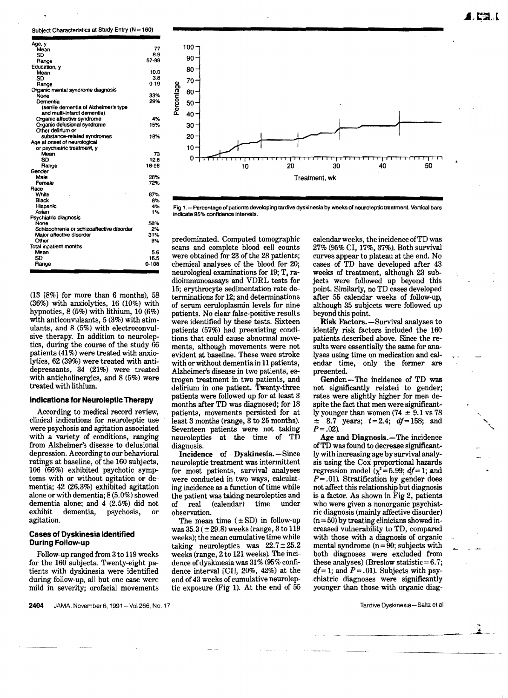Subject Characteristics at Study Entry (N = 160)

| Age, y                                    |          |
|-------------------------------------------|----------|
| Mean                                      | 77       |
| SD                                        | 8.9      |
| Range                                     | 57-99    |
| Education, y                              |          |
| Mean                                      | 10.0     |
| SD                                        | 3.8      |
| Range                                     | $0 - 19$ |
| Organic mental syndrome diagnosis         |          |
| None                                      | 33%      |
| Dementia                                  | 29%      |
| (senile dementia of Alzheimer's type      |          |
| and multi-infarct dementia)               |          |
| Organic affective syndrome                | 4%       |
| Organic delusional syndrome               | 15%      |
| Other delirium or                         |          |
| substance-related syndromes               | 18%      |
| Age at onset of neurological              |          |
| or psychiatric treatment, y               |          |
| Mean                                      | 73       |
| SD                                        | 12.8     |
| Range                                     | 16-98    |
| Gender                                    |          |
| Male                                      | 28%      |
| Female                                    | 72%      |
| Race                                      |          |
| White                                     | 87%      |
| Black                                     | 8%       |
| Hispanic                                  | 4%       |
| Asian                                     | 1%       |
| Psychiatric diagnosis                     |          |
| None                                      | 58%      |
| Schizophrenia or schizoaffective disorder | 2%       |
| Major affective disorder                  | 31%      |
| Other                                     | 9%       |
| Total inpatient months                    |          |
| Maan                                      | 5.6      |
| SD                                        | 16.5     |
| Range                                     | 0-108    |
|                                           |          |

(13 [8%] for more than 6 months), 58 (36%) with anxiolytics, 16 (10%) with hypnotics, 8 (5%) with lithium, 10 (6%) with anticonvulsants, 5 (3%) with stimulants, and 8 (5%) with electroconvulsive therapy. In addition to neuroleptics, during the course of the study 66 patients (41%) were treated with anxiolytics, 62 (39%) were treated with antidepressants, 34 (21%) were treated with anticholinergics, and 8 (5%) were treated with lithium.

#### Indications for Neuroleptic Therapy

According to medical record review, clinical indications for neuroleptic use were psychosis and agitation associated with a variety of conditions, ranging from Alzheimer's disease to delusional depression. According to our behavioral ratings at baseline, of the 160 subjects, 106 (66%) exhibited psychotic symptoms with or without agitation or dementia; 42 (26.3%) exhibited agitation alone orwith dementia; 8 (5.0%) showed dementia alone; and 4 (2.5%) did not exhibit dementia, psychosis, or agitation.

#### Cases of Dyskinesia Identified During Follow-up

Follow-up ranged from 3 to 119 weeks for the 160 subjects. Twenty-eight patients with dyskinesia were identified during follow-up, all but one case were mild in severity; orofacial movements



Fig 1.- Percentage of patients developing tardive dyskinesia by weeks of neuroleptic treatment. Vertical bars indicate 95% confidence intervals.

predominated. Computed tomographic scans and complete blood cell counts were obtained for 23 of the 28 patients; chemical analyses of the blood for 20; neurological examinations for 19; T. radioimmunoassays and VDRL tests for 15; erythrocyte sedimentation rate determinations for 12; and determinations of serum ceruloplasmin levels for nine patients. No clear false-positive results were identified by these tests. Sixteen patients (57%) had preexisting conditions that could cause abnormal movements, although movements were not evident at baseline. These were stroke with orwithout dementia in 11 patients, Alzheimer's disease in two patients, estrogen treatment in two patients, and delirium in one patient. Twenty-three patients were followed up for at least 3 months after TD was diagnosed; for 18 patients, movements persisted for at least 3 months (range, 3 to 25 months). Seventeen patients were not taking neuroleptics at the time of TD diagnosis.

Incidence of Dyskinesia. - Since neuroleptic treatment was intermittent for most patients, survival analyses were conducted in two ways, calculating incidence as a function of time while the patient was taking neuroleptics and<br>of real (calendar) time under of real (calendar) time observation.

The mean time  $(\pm SD)$  in follow-up was  $35.3 (\pm 29.8)$  weeks (range,  $3 \text{ to } 119$ weeks); the mean cumulative time while taking neuroleptics was  $22.7 \pm 25.2$ weeks (range, 2 to 121 weeks). The incidence of dyskinesia was 31% (95% confidence interval [CI], 20%, 42%) at the end of 43 weeks of cumulative neuroleptic exposure (Fig I), At the end of 55 calendar weeks, the incidence ofTD was 27% (95% CI, 17%,37%). Both survival curves appear to plateau at the end. No cases of TD have developed after 43 weeks of treatment, although 23 subjects were followed up beyond this point. Similarly, no TD cases developed after 55 calendar weeks of follow-up, although 35 subjects were followed up beyond this point.

Risk Factors. -Survival analyses to identify risk factors included the 160 patients described above. Since the results were essentially the same for analyses using time on medication and calendar time, only the former are presented.

Gender.-The incidence of TD was not significantly related to gender; rates were slightly higher for men despite the fact that men were significantly younger than women  $(74 \pm 9.1 \text{ vs } 78)$  $\pm$  8.7 years;  $t=2.4$ ;  $df=158$ ; and *P=.02}* 

Age and Diagnosis.—The incidence ofTD was found to decrease significantly with increasing age by survival analysis using the Cox proportional hazards regression model  $(\chi^2=5.99; df=1;$  and *P=* .01). Stratification by gender does not affect this relationship but diagnosis is a factor. As shown in Fig 2, patients who were given a nonorganic psychiatric diagnosis (mainly affective disorder)  $(n = 50)$  by treating clinicians showed increased vulnerability to TD, compared with those with a diagnosis of organic mental syndrome  $(n = 90;$  subjects with both diagnoses were excluded from these analyses) (Breslow statistic  $=6.7$ ;  $df=1$ ; and  $P=.01$ ). Subjects with psy-.chiatric diagnoses were significantly younger than those with organic diag-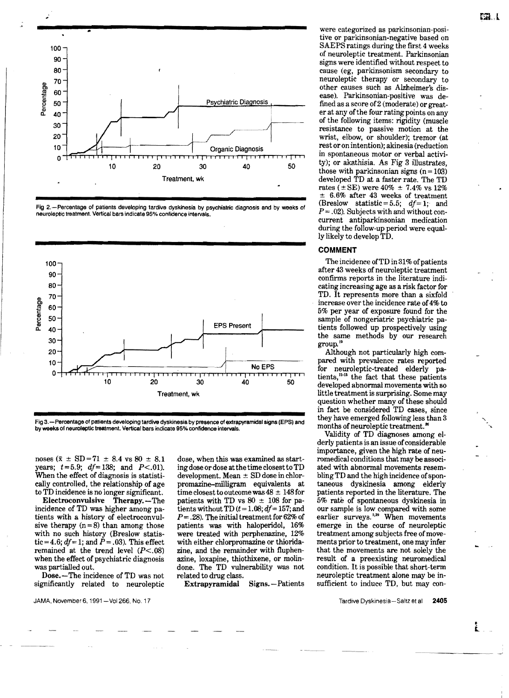

Fig 2.-Percentage of patients developing tardive dyskinesia by psychiatric diagnosis and by weeks of neuroleptic treatment. Vertical bars indicate 95% confidence intervals.



Fig 3.-Percentage of patients developing tardive dyskinesia by presence of extrapyramidal signs (EPS) and by weeks of neuroleptic treatment. Vertical bars indicate 95% confidence intervals.

noses ( $\bar{x} \pm SD = 71 \pm 8.4$  vs  $80 \pm 8.1$ years;  $t=5.9$ ;  $df=138$ ; and  $P<.01$ ). When the effect of diagnosis is statistically controlled, the relationship of age to TD incidence is no longer significant.

Electroconvulsive Therapy.-The incidence of TD was higher among patients with a history of electroconvulsive therapy  $(n=8)$  than among those with no such history (Breslow statistic=4.6;  $df=1$ ; and  $P=.03$ ). This effect remained at the trend level *(P<.08)*  when the effect of psychiatric diagnosis was partialled out.

Dose.-The incidence of TD was not significantly related to neuroleptic

dose, when this was examined as starting dose ordose at the time closest to TD development. Mean  $\pm$  SD dose in chlorpromazine-milligram equivalents at time closest to outcome was  $48 \pm 148$  for patients with TD vs  $80 \pm 108$  for patients without TD  $(t = 1.08; df = 157;$  and  $P = 0.28$ . The initial treatment for 62% of patients was with haloperidol, 16% were treated with perphenazine. 12% with either chlorpromazine or thioridazine, and the remainder with fluphenazine, loxapine, thiothixene, or molindone. The TD vulnerability was not related to drug class.

Extrapyramidal Signs. - Patients

were categorized as parkinsonian-positive or parkinsonian-negative based on SAEPS ratings during the first 4 weeks of neuroleptic treatment. Parkinsonian signs were identified without respect to cause (eg, parkinsonism secondary to neuroleptic therapy or secondary to other causes such as Alzheimer's disease). Parkinsonian-positive was defined as a score of 2 (moderate) or greater at any of the four rating points on any of the following items: rigidity (muscle resistance to passive motion at the wrist, elbow, or shoulder); tremor (at rest oron intention); akinesia (reduction in spontaneous motor or verbal activity); or akathisia. As Fig 3 illustrates, those with parkinsonian signs  $(n = 103)$ developed TD at a faster rate. The TD rates ( $\pm$ SE) were 40%  $\pm$  7.4% vs 12%  $±$  6.6% after 43 weeks of treatment (Breslow statistic = 5.5;  $df = 1$ ; and  $P = .02$ ). Subjects with and without concurrent antiparkinsonian medication during the follow-up period were equally likely to develop TD.

## **COMMENT**

The incidence ofTD in 31% of patients after 43 weeks of neuroleptic treatment confirms reports in the literature indicating increasing age as a risk factor for TD. It represents more than a sixfold increase over the incidence rate of 4% to 5% per year of exposure found for the sample of nongeriatric psychiatric patients followed up prospectively using the same methods by our research group."

Although not particularly high compared with prevalence rates reported for neuroleptic-treated elderly patients,<sup>n-13</sup> the fact that these patients developed abnormal movements with so little treatment is surprising. Some may question whether many of these should in fact be considered TD cases, since they have emerged following less than 3 months of neuroleptic treatment.<sup>1</sup>

Validity of TD diagnoses among elderly patients is an issue of considerable importance, given the high rate of neuromedical conditions that may be associated with abnormal movements resembling TD and the high incidence of spontaneous dyskinesia among elderly patients reported in the literature. The 5% rate of spontaneous dyskinesia in our sample is low compared with some earlier surveys.<sup>5,29</sup> When movements emerge in the course of neuroleptic treatment among subjects free of movements prior to treatment, one may infer that the movements are not solely the result of a preexisting neuromedical condition. It is possible that short-term neuroleptic treatment alone may be insufficient to induce TD, but may con